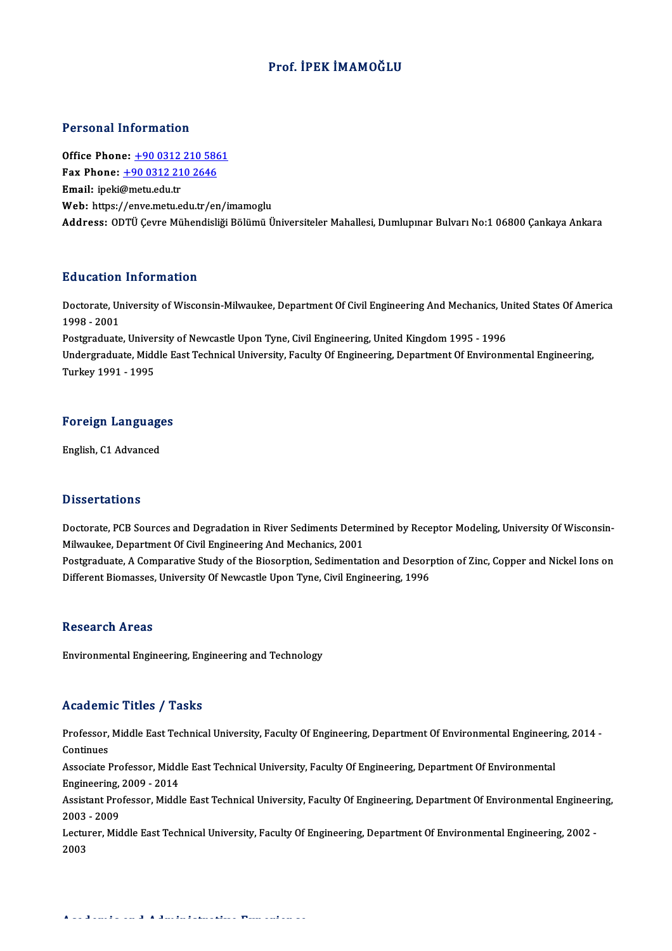### Prof. İPEK İMAMOĞLU

### Personal Information

**Personal Information<br>Office Phone: <u>+90 0312 210 5861</u><br>Fay Phone: 190 0312 210 2646** Fax Phone: <u>+90 0312 210 586</u><br>Fax Phone: <u>+90 0312 210 586</u><br>Fmail: incli@mety.edy.tr Office Phone: <u>+90 0312<br>Fax Phone: +90 0312 21</u><br>Email: ipeki@metu.edu.tr Fax Phone:  $\pm 90$  0312 210 2646<br>Email: ipeki@metu.edu.tr<br>Web: https:/[/enve.metu.edu.tr/e](tel:+90 0312 210 2646)[n/i](tel:+90 0312 210 5861)mamoglu Address: ODTÜ Çevre Mühendisliği Bölümü Üniversiteler Mahallesi, Dumlupınar Bulvarı No:1 06800 Çankaya Ankara

### Education Information

**Education Information**<br>Doctorate, University of Wisconsin-Milwaukee, Department Of Civil Engineering And Mechanics, United States Of America<br>1998–2001 nd declerent<br>1998 - 2001<br>Postsreducte Doctorate, University of Wisconsin-Milwaukee, Department Of Civil Engineering And Mechanics, Un<br>1998 - 2001<br>Postgraduate, University of Newcastle Upon Tyne, Civil Engineering, United Kingdom 1995 - 1996<br>Undergraduate Middl

1998 - 2001<br>Postgraduate, University of Newcastle Upon Tyne, Civil Engineering, United Kingdom 1995 - 1996<br>Undergraduate, Middle East Technical University, Faculty Of Engineering, Department Of Environmental Engineering,<br>T Postgraduate, University of Newcastle Upon Tyne, Civil Engineering, United Kingdom 1995 - 1996

# Turkey 1991 - 1995<br>Foreign Languages <mark>Foreign Languag</mark><br>English, C1 Advanced

English, C1 Advanced<br>Dissertations

Dissertations<br>Doctorate, PCB Sources and Degradation in River Sediments Determined by Receptor Modeling, University Of Wisconsin-<br>Milwaukee, Penertment Of Civil Engineering And Mosbanics, 2001 Milwaukee, PCB Sources and Degradation in River Sediments Deter<br>Milwaukee, Department Of Civil Engineering And Mechanics, 2001<br>Pestareduate A Comporative Study of the Biosoppien Sedimentat Doctorate, PCB Sources and Degradation in River Sediments Determined by Receptor Modeling, University Of Wisconsin-<br>Milwaukee, Department Of Civil Engineering And Mechanics, 2001<br>Postgraduate, A Comparative Study of the Bi Milwaukee, Department Of Civil Engineering And Mechanics, 2001<br>Postgraduate, A Comparative Study of the Biosorption, Sedimentation and Desorption of Zinc, Copper and Nickel Ions on<br>Different Biomasses, University Of Newcas

### **Research Areas**

Environmental Engineering, Engineering and Technology

### Academic Titles / Tasks

Academic Titles / Tasks<br>Professor, Middle East Technical University, Faculty Of Engineering, Department Of Environmental Engineering, 2014 -<br>Continues Professor,<br>Continues<br>Associate I Professor, Middle East Technical University, Faculty Of Engineering, Department Of Environmental Engineerin<br>Continues<br>Associate Professor, Middle East Technical University, Faculty Of Engineering, Department Of Environment

Continues<br>Associate Professor, Midd<br>Engineering, 2009 - 2014<br>Assistant Professor, Middl Associate Professor, Middle East Technical University, Faculty Of Engineering, Department Of Environmental<br>Engineering, 2009 - 2014<br>Assistant Professor, Middle East Technical University, Faculty Of Engineering, Department

Engineering,<br>Assistant Pro<br>2003 - 2009<br>Lecturer, Mid Assistant Professor, Middle East Technical University, Faculty Of Engineering, Department Of Environmental Engineeri<br>2003 - 2009<br>Lecturer, Middle East Technical University, Faculty Of Engineering, Department Of Environment

2003 - 2009<br>Lecturer, Middle East Technical University, Faculty Of Engineering, Department Of Environmental Engineering, 2002 -<br>2003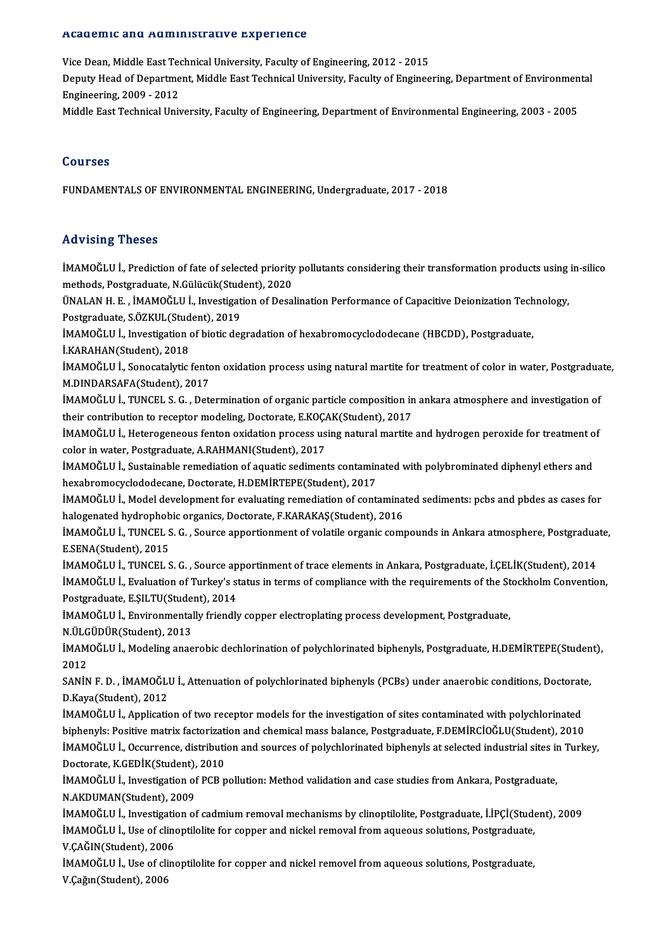### Academic and Administrative Experience

Vice Dean, Middle East Technical University, Faculty of Engineering, 2012 - 2015

rredd office and Trammineerderv o Emportence<br>Vice Dean, Middle East Technical University, Faculty of Engineering, 2012 - 2015<br>Prgineering, 2009, -2012 Vice Dean, Middle East Teo<br>Deputy Head of Departme<br>Engineering, 2009 - 2012<br>Middle East Technical Uni Deputy Head of Department, Middle East Technical University, Faculty of Engineering, Department of Environmen<br>Engineering, 2009 - 2012<br>Middle East Technical University, Faculty of Engineering, Department of Environmental E

Middle East Technical University, Faculty of Engineering, Department of Environmental Engineering, 2003 - 2005<br>Courses

FUNDAMENTALS OF ENVIRONMENTAL ENGINEERING, Undergraduate, 2017 - 2018

### Advising Theses

Advising Theses<br>İMAMOĞLU İ., Prediction of fate of selected priority pollutants considering their transformation products using in-silico<br>methods. Pestanaduate N.Gülüsük(Student), 2020 methods, Phodods<br>MAMOĞLU İ., Prediction of fate of selected priority<br>methods, Postgraduate, N.Gülücük(Student), 2020<br>ÜNALAN H. E., İMAMOĞLU İ. Investisation of Dese İMAMOĞLU İ., Prediction of fate of selected priority pollutants considering their transformation products using<br>methods, Postgraduate, N.Gülücük(Student), 2020<br>ÜNALAN H. E. , İMAMOĞLU İ., Investigation of Desalination Perf

methods, Postgraduate, N.Gülücük(Student), 2020<br>ÜNALAN H. E. , İMAMOĞLU İ., Investigation of Desalination Performance of Capacitive Deionization Technology,<br>Postgraduate, S.ÖZKUL(Student), 2019 ÜNALAN H. E. , İMAMOĞLU İ., Investigation of Desalination Performance of Capacitive Deionization Tech<br>Postgraduate, S.ÖZKUL(Student), 2019<br>İMAMOĞLU İ., Investigation of biotic degradation of hexabromocyclododecane (HBCDD),

Postgraduate, S.ÖZKUL(Stud<br>İMAMOĞLU İ., Investigation<br>İ.KARAHAN(Student), 2018<br>İMAMOĞLU İ. Sanasatalıtla

İMAMOĞLU İ., Investigation of biotic degradation of hexabromocyclododecane (HBCDD), Postgraduate,<br>İ.KARAHAN(Student), 2018<br>İMAMOĞLU İ., Sonocatalytic fenton oxidation process using natural martite for treatment of color in İ.KARAHAN(Student), 2018<br>İMAMOĞLU İ., Sonocatalytic fento<br>M.DINDARSAFA(Student), 2017<br>İMAMOĞLU İ. TUNCEL S.C., Deta İMAMOĞLU İ., Sonocatalytic fenton oxidation process using natural martite for treatment of color in water, Postgradua<br>M.DINDARSAFA(Student), 2017<br>İMAMOĞLU İ., TUNCEL S. G. , Determination of organic particle composition in

M.DINDARSAFA(Student), 2017<br>İMAMOĞLU İ., TUNCEL S. G. , Determination of organic particle composition in<br>their contribution to receptor modeling, Doctorate, E.KOÇAK(Student), 2017<br>İMAMOĞLU İ. Hatarosanaeye fantan evidetian IMAMOĞLU İ., TUNCEL S. G. , Determination of organic particle composition in ankara atmosphere and investigation of<br>their contribution to receptor modeling, Doctorate, E.KOÇAK(Student), 2017<br>IMAMOĞLU İ., Heterogeneous fent

their contribution to receptor modeling, Doctorate, E.KOÇAK(Student), 2017<br>İMAMOĞLU İ., Heterogeneous fenton oxidation process using natural martite and hydrogen peroxide for treatment c<br>color in water, Postgraduate, A.RAH IMAMOĞLU İ., Heterogeneous fenton oxidation process using natural martite and hydrogen peroxide for treatment of

hexabromocyclododecane, Doctorate, H.DEMİRTEPE(Student), 2017 IMAMOĞLU İ., Sustainable remediation of aquatic sediments contaminated with polybrominated diphenyl ethers and<br>hexabromocyclododecane, Doctorate, H.DEMIRTEPE(Student), 2017<br>IMAMOĞLU İ., Model development for evaluating rem

hexabromocyclododecane, Doctorate, H.DEMİRTEPE(Student), 2017<br>İMAMOĞLU İ., Model development for evaluating remediation of contamina<br>halogenated hydrophobic organics, Doctorate, F.KARAKAŞ(Student), 2016<br>İMAMOĞLU İ. TUNCEL İMAMOĞLU İ., Model development for evaluating remediation of contaminated sediments: pcbs and pbdes as cases for<br>halogenated hydrophobic organics, Doctorate, F.KARAKAŞ(Student), 2016<br>İMAMOĞLU İ., TUNCEL S. G. , Source appo

halogenated hydrophob<br>İMAMOĞLU İ., TUNCEL S<br>E.SENA(Student), 2015<br>İMAMOĞLU İ. TUNCEL S İMAMOĞLU İ., TUNCEL S. G. , Source apportionment of volatile organic compounds in Ankara atmosphere, Postgradua<br>E.SENA(Student), 2015<br>İMAMOĞLU İ., TUNCEL S. G. , Source apportinment of trace elements in Ankara, Postgraduat

E.SENA(Student), 2015<br>İMAMOĞLU İ., TUNCEL S. G. , Source apportinment of trace elements in Ankara, Postgraduate, İ.ÇELİK(Student), 2014<br>İMAMOĞLU İ., Evaluation of Turkey's status in terms of compliance with the requirement İMAMOĞLU İ., TUNCEL S. G. , Source apportinment of trace elements in Ankara, Postgraduate, İ.ÇELİK(Student), 2014<br>İMAMOĞLU İ., Evaluation of Turkey's status in terms of compliance with the requirements of the Stockholm Con İMAMOĞLU İ., Evaluation of Turkey's status in terms of compliance with the requirements of the St<br>Postgraduate, E.ŞILTU(Student), 2014<br>İMAMOĞLU İ., Environmentally friendly copper electroplating process development, Postgr

Postgraduate, E.ŞILTU(Student), 2014<br>İMAMOĞLU İ., Environmentally friendl<br>N.ÜLGÜDÜR(Student), 2013

İMAMOĞLU İ., Environmentally friendly copper electroplating process development, Postgraduate,<br>N.ÜLGÜDÜR(Student), 2013<br>İMAMOĞLU İ., Modeling anaerobic dechlorination of polychlorinated biphenyls, Postgraduate, H.DEMİRTEPE N ÜLG<br>İMAM<br>2012<br>SANİN IMAMOĞLU İ., Modeling anaerobic dechlorination of polychlorinated biphenyls, Postgraduate, H.DEMİRTEPE(Studen<br>2012<br>SANİN F. D. , İMAMOĞLU İ., Attenuation of polychlorinated biphenyls (PCBs) under anaerobic conditions, Doct

2012<br>SANİN F. D. , İMAMOĞLU İ., Attenuation of polychlorinated biphenyls (PCBs) under anaerobic conditions, Doctorate,<br>D.Kaya(Student), 2012 SANİN F. D. , İMAMOĞLU İ., Attenuation of polychlorinated biphenyls (PCBs) under anaerobic conditions, Doctorat<br>D.Kaya(Student), 2012<br>İMAMOĞLU İ., Application of two receptor models for the investigation of sites contamina

D.Kaya(Student), 2012<br>İMAMOĞLU İ., Application of two receptor models for the investigation of sites contaminated with polychlorinated<br>biphenyls: Positive matrix factorization and chemical mass balance, Postgraduate, F.DEM İMAMOĞLU İ., Application of two receptor models for the investigation of sites contaminated with polychlorinated<br>biphenyls: Positive matrix factorization and chemical mass balance, Postgraduate, F.DEMİRCİOĞLU(Student), 201 biphenyls: Positive matrix factorizati<br>İMAMOĞLU İ., Occurrence, distributi<br>Doctorate, K.GEDİK(Student), 2010<br>İMAMOĞLU İ. Investisation of PCP n İMAMOĞLU İ., Occurrence, distribution and sources of polychlorinated biphenyls at selected industrial sites in<br>Doctorate, K.GEDİK(Student), 2010<br>İMAMOĞLU İ., Investigation of PCB pollution: Method validation and case studi

Doctorate, K.GEDİK(Student), 2010<br>İMAMOĞLU İ., Investigation of PCB pollution: Method validation and case studies from Ankara, Postgraduate,<br>N.AKDUMAN(Student), 2009 İMAMOĞLU İ., Investigation of PCB pollution: Method validation and case studies from Ankara, Postgraduate,<br>N.AKDUMAN(Student), 2009<br>İMAMOĞLU İ., Investigation of cadmium removal mechanisms by clinoptilolite, Postgraduate,

N.AKDUMAN(Student), 2009<br>İMAMOĞLU İ., Investigation of cadmium removal mechanisms by clinoptilolite, Postgraduate, İ.İPÇİ(Stude<br>İMAMOĞLU İ., Use of clinoptilolite for copper and nickel removal from aqueous solutions, Postg İMAMOĞLU İ., Investigation<br>İMAMOĞLU İ., Use of clino<br>V.ÇAĞIN(Student), 2006<br>İMAMOĞLU İ. Use of clino İMAMOĞLU İ., Use of clinoptilolite for copper and nickel removal from aqueous solutions, Postgraduate,<br>V.ÇAĞIN(Student), 2006<br>İMAMOĞLU İ., Use of clinoptilolite for copper and nickel removel from aqueous solutions, Postgra

V.ÇAĞIN(Student), 200<br>İMAMOĞLU İ., Use of cli<br>V.Çağın(Student), 2006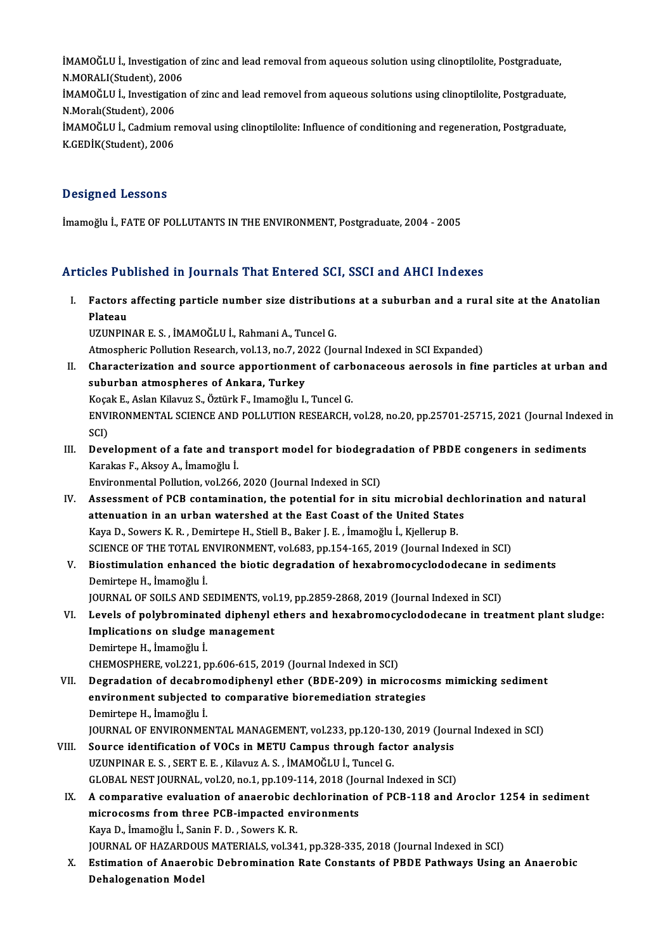iMAMOĞLU İ., Investigation of zinc and lead removal from aqueous solution using clinoptilolite, Postgraduate,<br>N.MORALUStudent), 2006 iMAMOĞLU İ., Investigation<br>N.MORALI(Student), 2006<br>İMAMOĞLU İ. Investigation İMAMOĞLU İ., Investigation of zinc and lead removal from aqueous solution using clinoptilolite, Postgraduate,<br>N.MORALI(Student), 2006<br>İMAMOĞLU İ., Investigation of zinc and lead removel from aqueous solutions using clinopt N.MORALI(Student), 2006<br>İMAMOĞLU İ., Investigatior<br>N.Moralı(Student). 2006 İMAMOĞLU İ., Investigation of zinc and lead removel from aqueous solutions using clinoptilolite, Postgraduate,<br>N.Moralı(Student), 2006<br>İMAMOĞLU İ., Cadmium removal using clinoptilolite: Influence of conditioning and regene İMAMOĞLU İ., Cadmium removal using clinoptilolite: Influence of conditioning and regeneration, Postgraduate,<br>K.GEDİK(Student), 2006

### Designed Lessons

İmamoğlu İ., FATE OF POLLUTANTS IN THE ENVIRONMENT, Postgraduate, 2004 - 2005

### Articles Published in Journals That Entered SCI, SSCI and AHCI Indexes

- rticles Published in Journals That Entered SCI, SSCI and AHCI Indexes<br>I. Factors affecting particle number size distributions at a suburban and a rural site at the Anatolian<br>Risteeu Flators<br>Plateau<br>Plateau Plateau<br>UZUNPINAR E. S. , İMAMOĞLU İ., Rahmani A., Tuncel G. Plateau<br>UZUNPINAR E. S. , İMAMOĞLU İ., Rahmani A., Tuncel G.<br>Atmospheric Pollution Research, vol.13, no.7, 2022 (Journal Indexed in SCI Expanded)<br>Charactorization and source annortionment of carbonaseous aerosols in fine UZUNPINAR E. S. , İMAMOĞLU İ., Rahmani A., Tuncel G.<br>Atmospheric Pollution Research, vol.13, no.7, 2022 (Journal Indexed in SCI Expanded)<br>II. Characterization and source apportionment of carbonaceous aerosols in fine parti Atmospheric Pollution Research, vol.13, no.7, 20<br>Characterization and source apportionmen<br>suburban atmospheres of Ankara, Turkey<br>Kosak E. Aslan Kilayuz S. Östürk E. Imamoğlu I. Characterization and source apportionment of carb<br>suburban atmospheres of Ankara, Turkey<br>Koçak E., Aslan Kilavuz S., Öztürk F., Imamoğlu I., Tuncel G.<br>ENWPONMENTAL SCIENCE AND POLLUTION PESEAPCH suburban atmospheres of Ankara, Turkey<br>Koçak E., Aslan Kilavuz S., Öztürk F., Imamoğlu I., Tuncel G.<br>ENVIRONMENTAL SCIENCE AND POLLUTION RESEARCH, vol.28, no.20, pp.25701-25715, 2021 (Journal Indexed in<br>SCD Koça<br>ENVI<br>SCI)<br>Dev ENVIRONMENTAL SCIENCE AND POLLUTION RESEARCH, vol.28, no.20, pp.25701-25715, 2021 (Journal Index<br>SCI)<br>III. Development of a fate and transport model for biodegradation of PBDE congeners in sediments<br>Karakas E. Akasy A. Ima SCI)<br>Development of a fate and tr:<br>Karakas F., Aksoy A., İmamoğlu İ.<br>Environmental Bollution vol 266 Development of a fate and transport model for biodegram<br>Karakas F., Aksoy A., İmamoğlu İ.<br>Environmental Pollution, vol.266, 2020 (Journal Indexed in SCI)<br>Assessment of PCP sentemination, the notential for in sit Karakas F., Aksoy A., İmamoğlu İ.<br>Environmental Pollution, vol.266, 2020 (Journal Indexed in SCI)<br>IV. Assessment of PCB contamination, the potential for in situ microbial dechlorination and natural<br>Attenuation in an urban Environmental Pollution, vol.266, 2020 (Journal Indexed in SCI)<br>Assessment of PCB contamination, the potential for in situ microbial decleattenuation in an urban watershed at the East Coast of the United States<br>Kave D. Sov Assessment of PCB contamination, the potential for in situ microbial de<br>attenuation in an urban watershed at the East Coast of the United State<br>Kaya D., Sowers K.R. , Demirtepe H., Stiell B., Baker J. E. , İmamoğlu İ., Kje attenuation in an urban watershed at the East Coast of the United States<br>Kaya D., Sowers K. R. , Demirtepe H., Stiell B., Baker J. E. , İmamoğlu İ., Kjellerup B.<br>SCIENCE OF THE TOTAL ENVIRONMENT, vol.683, pp.154-165, 2019
- Kaya D., Sowers K. R. , Demirtepe H., Stiell B., Baker J. E. , İmamoğlu İ., Kjellerup B.<br>SCIENCE OF THE TOTAL ENVIRONMENT, vol.683, pp.154-165, 2019 (Journal Indexed in SCI)<br>V. Biostimulation enhanced the biotic degradatio SCIENCE OF THE TOTAL E<br>Biostimulation enhance<br>Demirtepe H., İmamoğlu İ.<br>JOUPNAL OF SOU S AND S Biostimulation enhanced the biotic degradation of hexabromocyclododecane in<br>Demirtepe H., İmamoğlu İ.<br>JOURNAL OF SOILS AND SEDIMENTS, vol.19, pp.2859-2868, 2019 (Journal Indexed in SCI)<br>Lavels of nolyhnominated dinhanyl et
- VI. Levels of polybrominated diphenyl ethers and hexabromocyclododecane in treatment plant sludge: JOURNAL OF SOILS AND SEDIMENTS, vol<br>Levels of polybrominated diphenyl e<br>Implications on sludge management<br>Domirtono H. İmamoğlu İ DemirtepeH., İmamoğlu İ. CHEMOSPHERE, vol.221, pp.606-615, 2019 (Journal Indexed in SCI)
- VII. Degradation of decabromodiphenyl ether (BDE-209) in microcosms mimicking sediment CHEMOSPHERE, vol.221, pp.606-615, 2019 (Journal Indexed in SCI)<br>Degradation of decabromodiphenyl ether (BDE-209) in microcos<br>environment subjected to comparative bioremediation strategies<br>Demirtane H. İmamoğlu İ Degradation of decabro<br>environment subjected<br>Demirtepe H., İmamoğlu İ.<br>IOUPNAL OF ENVIRONME environment subjected to comparative bioremediation strategies<br>Demirtepe H., İmamoğlu İ.<br>JOURNAL OF ENVIRONMENTAL MANAGEMENT, vol.233, pp.120-130, 2019 (Journal Indexed in SCI)<br>Seuree identification of VOCe in METU Cempus
- Demirtepe H., İmamoğlu İ.<br>JOURNAL OF ENVIRONMENTAL MANAGEMENT, vol.233, pp.120-130, 2019 (Jour<br>VIII. Source identification of VOCs in METU Campus through factor analysis<br>UZUNPINAR E.S. SERT E. E. Kilonya A.S. İMAMOČLU İ. T JOURNAL OF ENVIRONMENTAL MANAGEMENT, vol.233, pp.120-13<br>Source identification of VOCs in METU Campus through fact<br>UZUNPINAR E. S. , SERT E. E. , Kilavuz A. S. , İMAMOĞLU İ., Tuncel G.<br>GLOBAL NEST JOURNAL vol.20, pp.1, pp.1 Source identification of VOCs in METU Campus through factor analysis<br>UZUNPINAR E. S., SERT E. E., Kilavuz A. S., İMAMOĞLU İ., Tuncel G.<br>GLOBAL NEST JOURNAL, vol.20, no.1, pp.109-114, 2018 (Journal Indexed in SCI)<br>A compone
	- UZUNPINAR E. S. , SERT E. E. , Kilavuz A. S. , İMAMOĞLU İ., Tuncel G.<br>GLOBAL NEST JOURNAL, vol.20, no.1, pp.109-114, 2018 (Journal Indexed in SCI)<br>IX. A comparative evaluation of anaerobic dechlorination of PCB-118 and Aro GLOBAL NEST JOURNAL, vol.20, no.1, pp.109-114, 2018 (Journal of anti-<br>A comparative evaluation of anaerobic dechlorination<br>microcosms from three PCB-impacted environments<br>Kava D. İmamağlu İ. Sanin E. D. Savara K. B. A comparative evaluation of anaerobic d<br>microcosms from three PCB-impacted en<br>Kaya D., İmamoğlu İ., Sanin F. D. , Sowers K. R.<br>JOUPMAL OF HAZAPDOUS MATERIALS xral 24 microcosms from three PCB-impacted environments<br>Kaya D., İmamoğlu İ., Sanin F. D. , Sowers K. R.<br>JOURNAL OF HAZARDOUS MATERIALS, vol.341, pp.328-335, 2018 (Journal Indexed in SCI)<br>Estimation of Anaorabis Dobromination Bate
		-

Kaya D., İmamoğlu İ., Sanin F. D. , Sowers K. R.<br>JOURNAL OF HAZARDOUS MATERIALS, vol.341, pp.328-335, 2018 (Journal Indexed in SCI)<br>X. Estimation of Anaerobic Debromination Rate Constants of PBDE Pathways Using an Anaerobi JOURNAL OF HAZARDOU<br>Estimation of Anaerob<br>Dehalogenation Model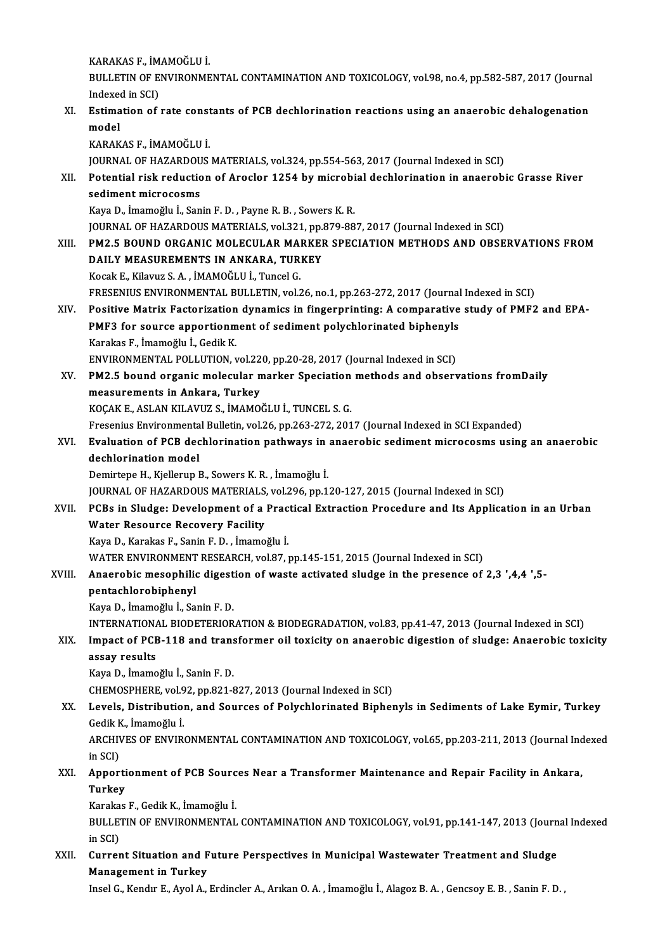KARAKAS F., İMAMOĞLUİ.

KARAKAS F., İMAMOĞLU İ.<br>BULLETIN OF ENVIRONMENTAL CONTAMINATION AND TOXICOLOGY, vol.98, no.4, pp.582-587, 2017 (Journal KARAKAS F., İM<br>BULLETIN OF E.<br>Indexed in SCI)<br>Estimation of BULLETIN OF ENVIRONMENTAL CONTAMINATION AND TOXICOLOGY, vol.98, no.4, pp.582-587, 2017 (Journal Indexed in SCI)<br>XI. Estimation of rate constants of PCB dechlorination reactions using an anaerobic dehalogenation<br>model

- Indexee<br>Estima<br>model<br>KARAK Estimation of rate consi<br>model<br>KARAKAS F., İMAMOĞLU İ.<br>JOUPNAL OF HAZAPDOUS model<br>KARAKAS F., İMAMOĞLU İ.<br>JOURNAL OF HAZARDOUS MATERIALS, vol.324, pp.554-563, 2017 (Journal Indexed in SCI)<br>Petential risk reduction of Arasler 1254 by misrebial desblerination in anaerebi KARAKAS F., İMAMOĞLU İ.<br>JOURNAL OF HAZARDOUS MATERIALS, vol.324, pp.554-563, 2017 (Journal Indexed in SCI)<br>XII. Potential risk reduction of Aroclor 1254 by microbial dechlorination in anaerobic Grasse River<br>sediment microc JOURNAL OF HAZARDOU<br>Potential risk reductic<br>sediment microcosms<br>Kava D. İmamağlu İ. San KayaD., İmamoğlu İ.,SaninF.D. ,PayneR.B. ,SowersK.R. S<mark>ediment microcosms</mark><br>Kaya D., İmamoğlu İ., Sanin F. D. , Payne R. B. , Sowers K. R.<br>JOURNAL OF HAZARDOUS MATERIALS, vol.321, pp.879-887, 2017 (Journal Indexed in SCI)<br>PM2 E ROUND ORGANIC MOLECIU AR MARKER SRECIATION METHO Kaya D., İmamoğlu İ., Sanin F. D. , Payne R. B. , Sowers K. R.<br>JOURNAL OF HAZARDOUS MATERIALS, vol.321, pp.879-887, 2017 (Journal Indexed in SCI)<br>XIII. PM2.5 BOUND ORGANIC MOLECULAR MARKER SPECIATION METHODS AND OBSERV **JOURNAL OF HAZARDOUS MATERIALS, vol.321, pp.<br>PM2.5 BOUND ORGANIC MOLECULAR MARKEI<br>DAILY MEASUREMENTS IN ANKARA, TURKEY** PM2.5 BOUND ORGANIC MOLECULAR MAR<br>DAILY MEASUREMENTS IN ANKARA, TUR<br>Kocak E., Kilavuz S.A. , İMAMOĞLU İ., Tuncel G.<br>ERESENIUS ENVIRONMENTAL BULLETIN vel DAILY MEASUREMENTS IN ANKARA, TURKEY<br>Kocak E., Kilavuz S. A. , İMAMOĞLU İ., Tuncel G.<br>FRESENIUS ENVIRONMENTAL BULLETIN, vol.26, no.1, pp.263-272, 2017 (Journal Indexed in SCI)<br>Positive Metrix Festorization dynamics in fins Kocak E., Kilavuz S. A. , İMAMOĞLU İ., Tuncel G.<br>FRESENIUS ENVIRONMENTAL BULLETIN, vol.26, no.1, pp.263-272, 2017 (Journal Indexed in SCI)<br>XIV. Positive Matrix Factorization dynamics in fingerprinting: A comparative st
- FRESENIUS ENVIRONMENTAL BULLETIN, vol.26, no.1, pp.263-272, 2017 (Journal<br>Positive Matrix Factorization dynamics in fingerprinting: A comparative<br>PMF3 for source apportionment of sediment polychlorinated biphenyls<br>Karakas Positive Matrix Factorization<br>PMF3 for source apportionm<br>Karakas F., İmamoğlu İ., Gedik K.<br>ENWPONMENTAL POLLUTION PMF3 for source apportionment of sediment polychlorinated biphenyls<br>Karakas F., İmamoğlu İ., Gedik K.<br>ENVIRONMENTAL POLLUTION, vol.220, pp.20-28, 2017 (Journal Indexed in SCI)<br>PM2 E. bound organis molecular markar Speciati Karakas F., İmamoğlu İ., Gedik K.<br>ENVIRONMENTAL POLLUTION, vol.220, pp.20-28, 2017 (Journal Indexed in SCI)<br>XV. PM2.5 bound organic molecular marker Speciation methods and observations fromDaily<br>measurements in Ankara. Tur
- ENVIRONMENTAL POLLUTION, vol.22<br>PM2.5 bound organic molecular n<br>measurements in Ankara, Turkey<br>YOCAKE ASLAN KILAVIIZ S. MAMO PM2.5 bound organic molecular marker Speciation<br>measurements in Ankara, Turkey<br>KOÇAK E., ASLAN KILAVUZ S., İMAMOĞLU İ., TUNCEL S. G.<br>Fresonius Environmental Bullatin vel 26 nn 263 272 201 measurements in Ankara, Turkey<br>KOÇAK E., ASLAN KILAVUZ S., İMAMOĞLU İ., TUNCEL S. G.<br>Fresenius Environmental Bulletin, vol.26, pp.263-272, 2017 (Journal Indexed in SCI Expanded)

### KOÇAK E., ASLAN KILAVUZ S., İMAMOĞLU İ., TUNCEL S. G.<br>Fresenius Environmental Bulletin, vol.26, pp.263-272, 2017 (Journal Indexed in SCI Expanded)<br>XVI. Evaluation of PCB dechlorination pathways in anaerobic sediment mi Fresenius Environmenta<br><mark>Evaluation of PCB dec</mark><br>dechlorination model<br>Demirtane H. Kiellerun I Evaluation of PCB dechlorination pathways in<br>dechlorination model<br>Demirtepe H., Kjellerup B., Sowers K. R. , İmamoğlu İ.<br>JOUPNAL OE HAZAPDOUS MATERIALS vel 296 nn 1 dechlorination model<br>Demirtepe H., Kjellerup B., Sowers K. R. , İmamoğlu İ.<br>JOURNAL OF HAZARDOUS MATERIALS, vol.296, pp.120-127, 2015 (Journal Indexed in SCI)

XVII. PCBs in Sludge: Development of a Practical Extraction Procedure and Its Application in an Urban Water Resource Recovery Facility

KayaD.,Karakas F.,SaninF.D. , İmamoğlu İ. WATER ENVIRONMENT RESEARCH, vol.87, pp.145-151, 2015 (Journal Indexed in SCI)

## Kaya D., Karakas F., Sanin F. D. , İmamoğlu İ.<br>WATER ENVIRONMENT RESEARCH, vol.87, pp.145-151, 2015 (Journal Indexed in SCI)<br>XVIII. Anaerobic mesophilic digestion of waste activated sludge in the presence of 2,3 ',4,4 WATER ENVIRONMENT<br><mark>Anaerobic mesophili</mark><br>pentachlorobiphenyl<br><sup>Kovo D. İmemeğlu İ. Se</sup> Anaerobic mesophilic digest<br>pentachlorobiphenyl<br>Kaya D., İmamoğlu İ., Sanin F. D.<br>INTERNATIONAL PIODETERIOP

pentachlorobiphenyl<br>Kaya D., İmamoğlu İ., Sanin F. D.<br>INTERNATIONAL BIODETERIORATION & BIODEGRADATION, vol.83, pp.41-47, 2013 (Journal Indexed in SCI)<br>Impect of PCP, 118 and transformer, eil terisity on apocrabis disestion

## Kaya D., İmamoğlu İ., Sanin F. D.<br>INTERNATIONAL BIODETERIORATION & BIODEGRADATION, vol.83, pp.41-47, 2013 (Journal Indexed in SCI)<br>XIX. Impact of PCB-118 and transformer oil toxicity on anaerobic digestion of sludge: A INTERNATIONA<br>Impact of PCE<br>assay results<br>Kava D. Imamo assay results<br>Kaya D., İmamoğlu İ., Sanin F. D.<br>CHEMOSPHERE, vol.92, pp.821-827, 2013 (Journal Indexed in SCI)<br>Lavels, Distribution, and Sources of Polychlorinated Binhot

KayaD., İmamoğlu İ.,SaninF.D.

## XX. Levels, Distribution, and Sources of Polychlorinated Biphenyls in Sediments of Lake Eymir, Turkey CHEMOSPHERE, vol.9<br>Levels, Distributio<br>Gedik K., İmamoğlu İ.<br>ARCHIVES OF ENVIR. Levels, Distribution, and Sources of Polychlorinated Biphenyls in Sediments of Lake Eymir, Turkey<br>Gedik K., İmamoğlu İ.<br>ARCHIVES OF ENVIRONMENTAL CONTAMINATION AND TOXICOLOGY, vol.65, pp.203-211, 2013 (Journal Indexed<br>in S

Gedik K<br>ARCHIV<br>in SCI)<br>Annor ARCHIVES OF ENVIRONMENTAL CONTAMINATION AND TOXICOLOGY, vol.65, pp.203-211, 2013 (Journal Ind<br>in SCI)<br>XXI. Apportionment of PCB Sources Near a Transformer Maintenance and Repair Facility in Ankara,<br>Turkey

## in SCI)<br><mark>Apporti</mark><br>Turkey<br><sup>Korolos</sup> Apportionment of PCB Sourc<br>Turkey<br>Karakas F., Gedik K., İmamoğlu İ.<br>PULLETIN OF ENVIRONMENTAL

Turkey<br>Karakas F., Gedik K., İmamoğlu İ.<br>BULLETIN OF ENVIRONMENTAL CONTAMINATION AND TOXICOLOGY, vol.91, pp.141-147, 2013 (Journal Indexed<br>in SCD Karaka<br>BULLE<br>in SCI)<br>Gunner BULLETIN OF ENVIRONMENTAL CONTAMINATION AND TOXICOLOGY, vol.91, pp.141-147, 2013 (Journ<br>in SCI)<br>XXII. Current Situation and Future Perspectives in Municipal Wastewater Treatment and Sludge<br>Managament in Turkey

# in SCI)<br>XXII. Current Situation and Future Perspectives in Municipal Wastewater Treatment and Sludge<br>Management in Turkey

Insel G., Kendır E., Ayol A., Erdincler A., Arıkan O. A. , İmamoğlu İ., Alagoz B. A. , Gencsoy E. B. , Sanin F. D. ,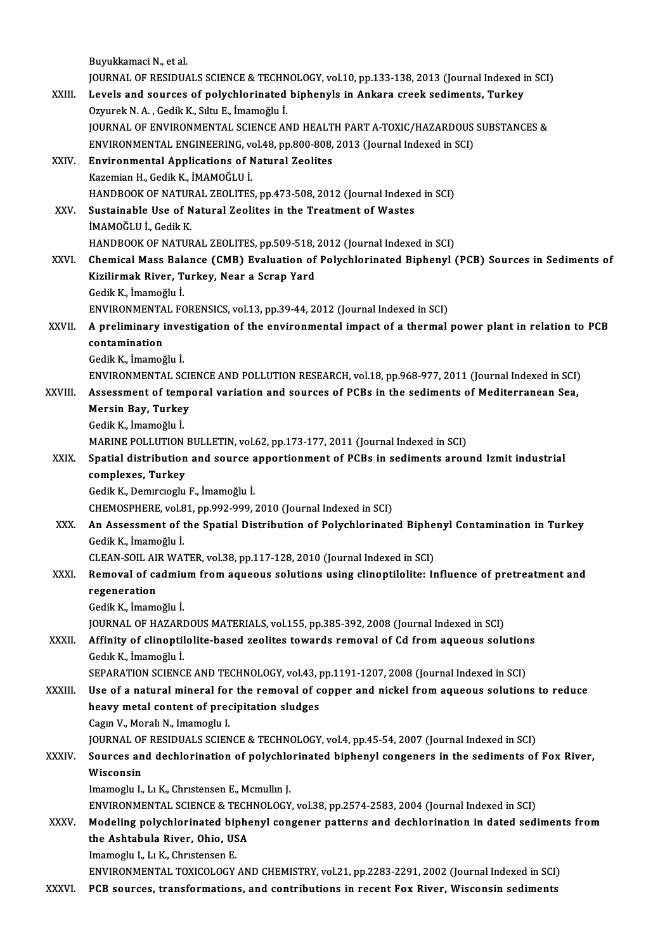|         | Buyukkamaci N, et al.                                                                               |
|---------|-----------------------------------------------------------------------------------------------------|
|         | JOURNAL OF RESIDUALS SCIENCE & TECHNOLOGY, vol.10, pp.133-138, 2013 (Journal Indexed in SCI)        |
| XXIII.  | Levels and sources of polychlorinated biphenyls in Ankara creek sediments, Turkey                   |
|         | Ozyurek N. A., Gedik K., Sıltu E., İmamoğlu İ.                                                      |
|         | JOURNAL OF ENVIRONMENTAL SCIENCE AND HEALTH PART A-TOXIC/HAZARDOUS SUBSTANCES &                     |
|         | ENVIRONMENTAL ENGINEERING, vol.48, pp.800-808, 2013 (Journal Indexed in SCI)                        |
| XXIV.   | <b>Environmental Applications of Natural Zeolites</b>                                               |
|         | Kazemian H., Gedik K., İMAMOĞLU İ.                                                                  |
|         | HANDBOOK OF NATURAL ZEOLITES, pp.473-508, 2012 (Journal Indexed in SCI)                             |
| XXV.    | Sustainable Use of Natural Zeolites in the Treatment of Wastes                                      |
|         | İMAMOĞLU İ., Gedik K.                                                                               |
|         | HANDBOOK OF NATURAL ZEOLITES, pp.509-518, 2012 (Journal Indexed in SCI)                             |
| XXVI.   | Chemical Mass Balance (CMB) Evaluation of Polychlorinated Biphenyl (PCB) Sources in Sediments of    |
|         | Kizilirmak River, Turkey, Near a Scrap Yard                                                         |
|         | Gedik K., İmamoğlu İ.                                                                               |
|         | ENVIRONMENTAL FORENSICS, vol.13, pp.39-44, 2012 (Journal Indexed in SCI)                            |
| XXVII.  | A preliminary investigation of the environmental impact of a thermal power plant in relation to PCB |
|         | contamination                                                                                       |
|         | Gedik K, İmamoğlu İ                                                                                 |
|         | ENVIRONMENTAL SCIENCE AND POLLUTION RESEARCH, vol.18, pp.968-977, 2011 (Journal Indexed in SCI)     |
| XXVIII. | Assessment of temporal variation and sources of PCBs in the sediments of Mediterranean Sea,         |
|         | Mersin Bay, Turkey                                                                                  |
|         | Gedik K., İmamoğlu İ.                                                                               |
|         | MARINE POLLUTION BULLETIN, vol.62, pp.173-177, 2011 (Journal Indexed in SCI)                        |
| XXIX.   | Spatial distribution and source apportionment of PCBs in sediments around Izmit industrial          |
|         | complexes, Turkey                                                                                   |
|         | Gedik K., Demircioglu F., İmamoğlu İ.                                                               |
|         | CHEMOSPHERE, vol.81, pp.992-999, 2010 (Journal Indexed in SCI)                                      |
| XXX.    | An Assessment of the Spatial Distribution of Polychlorinated Biphenyl Contamination in Turkey       |
|         | Gedik K., İmamoğlu İ.                                                                               |
|         | CLEAN-SOIL AIR WATER, vol.38, pp.117-128, 2010 (Journal Indexed in SCI)                             |
| XXXI.   | Removal of cadmium from aqueous solutions using clinoptilolite: Influence of pretreatment and       |
|         | regeneration                                                                                        |
|         | Gedik K., İmamoğlu İ.                                                                               |
|         | JOURNAL OF HAZARDOUS MATERIALS, vol.155, pp.385-392, 2008 (Journal Indexed in SCI)                  |
| XXXII.  | Affinity of clinoptilolite-based zeolites towards removal of Cd from aqueous solutions              |
|         | Gedik K., İmamoğlu İ.                                                                               |
|         | SEPARATION SCIENCE AND TECHNOLOGY, vol.43, pp.1191-1207, 2008 (Journal Indexed in SCI)              |
| XXXIII. | Use of a natural mineral for the removal of copper and nickel from aqueous solutions to reduce      |
|         | heavy metal content of precipitation sludges                                                        |
|         | Cagin V, Morali N, Imamoglu I.                                                                      |
|         | JOURNAL OF RESIDUALS SCIENCE & TECHNOLOGY, vol.4, pp.45-54, 2007 (Journal Indexed in SCI)           |
| XXXIV   | Sources and dechlorination of polychlorinated biphenyl congeners in the sediments of Fox River,     |
|         | Wisconsin                                                                                           |
|         | Imamoglu I., Lı K., Christensen E., Mcmullin J.                                                     |
|         | ENVIRONMENTAL SCIENCE & TECHNOLOGY, vol.38, pp.2574-2583, 2004 (Journal Indexed in SCI)             |
| XXXV    | Modeling polychlorinated biphenyl congener patterns and dechlorination in dated sediments from      |
|         | the Ashtabula River, Ohio, USA                                                                      |
|         | Imamoglu I., Lı K., Christensen E.                                                                  |
|         | ENVIRONMENTAL TOXICOLOGY AND CHEMISTRY, vol.21, pp.2283-2291, 2002 (Journal Indexed in SCI)         |
| XXXVI.  | PCB sources, transformations, and contributions in recent Fox River, Wisconsin sediments            |
|         |                                                                                                     |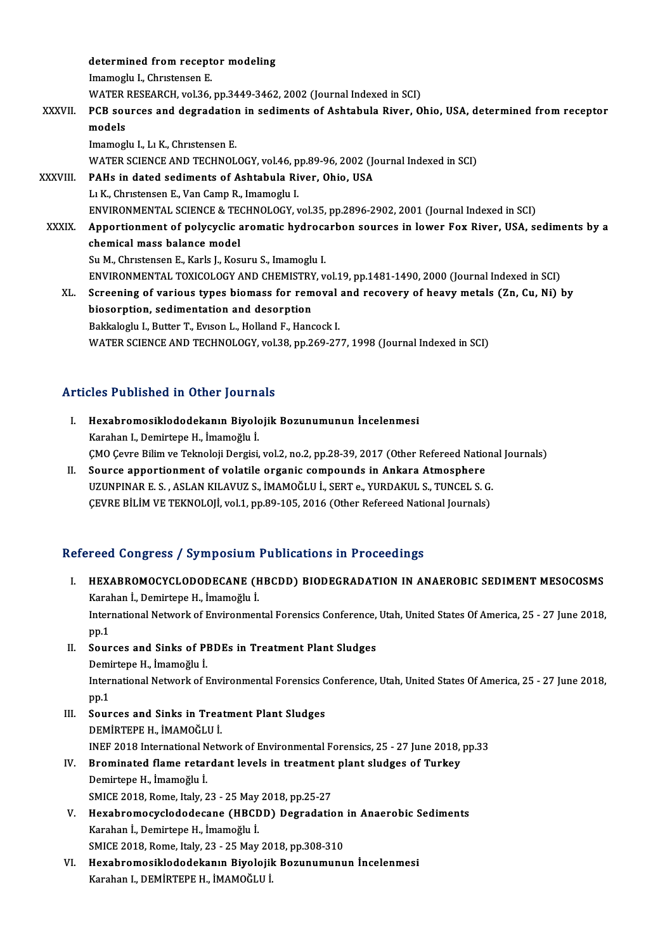determined from receptor modeling<br>Imamaglu I. Chustaneen F determined from recept<br>Imamoglu I., Chrıstensen E.<br>WATER RESEARCH vol 36 Imamoglu I., Christensen E.<br>WATER RESEARCH, vol.36, pp.3449-3462, 2002 (Journal Indexed in SCI) Imamoglu I., Christensen E.<br>WATER RESEARCH, vol.36, pp.3449-3462, 2002 (Journal Indexed in SCI)<br>XXXVII. PCB sources and degradation in sediments of Ashtabula River, Ohio, USA, determined from receptor<br>models WATER<br>**PCB sou**<br>models<br>Imamos! PCB sources and degradation<br>models<br>Imamoglu I., Lı K., Chrıstensen E.<br>WATER SCIENCE AND TECHNOL models<br>Imamoglu I., Lı K., Christensen E.<br>WATER SCIENCE AND TECHNOLOGY, vol.46, pp.89-96, 2002 (Journal Indexed in SCI)<br>PAHs in dated sodiments of Ashtabula Biyer, Obio, USA Imamoglu I., Lı K., Christensen E.<br>WATER SCIENCE AND TECHNOLOGY, vol.46, pp.89-96, 2002 (Journal River, Ohio, USA<br>XXXVIII. PAHs in dated sediments of Ashtabula River, Ohio, USA WATER SCIENCE AND TECHNOLOGY, vol.46, p<br>PAHs in dated sediments of Ashtabula Ri<br>L1 K., Christensen E., Van Camp R., Imamoglu I.<br>ENVIRONMENTAL SCIENCE & TECHNOLOCY Y PAHs in dated sediments of Ashtabula River, Ohio, USA<br>L1 K., Christensen E., Van Camp R., Imamoglu I.<br>ENVIRONMENTAL SCIENCE & TECHNOLOGY, vol.35, pp.2896-2902, 2001 (Journal Indexed in SCI) L1 K., Christensen E., Van Camp R., Imamoglu I.<br>ENVIRONMENTAL SCIENCE & TECHNOLOGY, vol.35, pp.2896-2902, 2001 (Journal Indexed in SCI)<br>XXXIX. Apportionment of polycyclic aromatic hydrocarbon sources in lower Fox River, US ENVIRONMENTAL SCIENCE & TECTRON<br>Apportionment of polycyclic and<br>chemical mass balance model<br>Su M. Christenson E. Korls L. Korl Apportionment of polycyclic aromatic hydroca<br>chemical mass balance model<br>Su M., Christensen E., Karls J., Kosuru S., Imamoglu I.<br>ENWRONMENTAL TOYICOLOCY AND CHEMISTRY ... chemical mass balance model<br>Su M., Christensen E., Karls J., Kosuru S., Imamoglu I.<br>ENVIRONMENTAL TOXICOLOGY AND CHEMISTRY, vol.19, pp.1481-1490, 2000 (Journal Indexed in SCI)<br>Sanaaning of vanjous tynes biomass for removal Su M., Christensen E., Karls J., Kosuru S., Imamoglu I.<br>ENVIRONMENTAL TOXICOLOGY AND CHEMISTRY, vol.19, pp.1481-1490, 2000 (Journal Indexed in SCI)<br>XL. Screening of various types biomass for removal and recovery of heavy m ENVIRONMENTAL TOXICOLOGY AND CHEMISTRY<br>Screening of various types biomass for rem<br>biosorption, sedimentation and desorption<br>Bakkalagh: L. Butter T. Eusen L. Helland E. Hang Screening of various types biomass for removal<br>biosorption, sedimentation and desorption<br>Bakkaloglu I., Butter T., Evıson L., Holland F., Hancock I.<br>WATER SCIENCE AND TECUNOLOCY vol 29 np 260 27 biosorption, sedimentation and desorption<br>Bakkaloglu I., Butter T., Evison L., Holland F., Hancock I.<br>WATER SCIENCE AND TECHNOLOGY, vol.38, pp.269-277, 1998 (Journal Indexed in SCI)

### Articles Published in Other Journals

- rticles Published in Other Journals<br>I. Hexabromosiklododekanın Biyolojik Bozunumunun İncelenmesi<br>Karaban I. Demirtana H. İmamoğlu İ Karahan I., Demirtepe H., İmamoğlu İ.<br>Hexabromosiklododekanın Biyolc<br>Karahan I., Demirtepe H., İmamoğlu İ. Karahan I., Demirtepe H., İmamoğlu İ.<br>ÇMO Çevre Bilim ve Teknoloji Dergisi, vol.2, no.2, pp.28-39, 2017 (Other Refereed National Journals)
- II. Source apportionment of volatile organic compounds in Ankara Atmosphere CMO Cevre Bilim ve Teknoloji Dergisi, vol.2, no.2, pp.28-39, 2017 (Other Refereed Nation.<br>Source apportionment of volatile organic compounds in Ankara Atmosphere<br>UZUNPINAR E. S. , ASLAN KILAVUZ S., İMAMOĞLU İ., SERT e., YU Source apportionment of volatile organic compounds in Ankara Atmosphere<br>UZUNPINAR E. S. , ASLAN KILAVUZ S., İMAMOĞLU İ., SERT e., YURDAKUL S., TUNCEL S. G.<br>ÇEVRE BİLİM VE TEKNOLOJİ, vol.1, pp.89-105, 2016 (Other Refereed N CEVRE BILIM VE TEKNOLOJI, vol.1, pp.89-105, 2016 (Other Refereed National Journals)<br>Refereed Congress / Symposium Publications in Proceedings

- efereed Congress / Symposium Publications in Proceedings<br>I. HEXABROMOCYCLODODECANE (HBCDD) BIODEGRADATION IN ANAEROBIC SEDIMENT MESOCOSMS<br>Kanaban I. Damirtana H. İmamoğlu İ Karahan İ., Demirtepe H., İmamoğlu İ.<br>Karahan İ., Demirtepe H., İmamoğlu İ.<br>International Naturalı of Environmen HEXABROMOCYCLODODECANE (HBCDD) BIODEGRADATION IN ANAEROBIC SEDIMENT MESOCOSMS<br>Karahan İ., Demirtepe H., İmamoğlu İ.<br>International Network of Environmental Forensics Conference, Utah, United States Of America, 25 - 27 June Karahan İ., Demirtepe H., İmamoğlu İ.<br>International Network of Environmental Forensics Conference, Utah, United States Of America, 25 - 27 June 2018,<br>pp.1 International Network of Environmental Forensics Conference,<br>pp.1<br>II. Sources and Sinks of PBDEs in Treatment Plant Sludges<br>Demirtone H. İmamoğlu İ pp.1<br>Sources and Sinks of Pl<br>Demirtepe H., İmamoğlu İ.<br>International Network of E International Network of Environmental Forensics Conference, Utah, United States Of America, 25 - 27 June 2018,<br>pp.1 Demirtepe H., İmamoğlu İ. International Network of Environmental Forensics C<br>pp.1<br>III. Sources and Sinks in Treatment Plant Sludges<br>DEMIPTERE H MAMOČIJJI pp.1<br>Sources and Sinks in Trea<br>DEMİRTEPE H., İMAMOĞLU İ.<br>INEE 2012 International Netr Sources and Sinks in Treatment Plant Sludges<br>DEMİRTEPE H., İMAMOĞLU İ.<br>INEF 2018 International Network of Environmental Forensics, 25 - 27 June 2018, pp.33<br>Prominated flame retardent levels in treatment plant sludges of Tu DEMİRTEPE H., İMAMOĞLU İ.<br>INEF 2018 International Network of Environmental Forensics, 25 - 27 June 2018,<br>IV. Brominated flame retardant levels in treatment plant sludges of Turkey<br>Demirtane H. İmemoğlu İ. INEF 2018 International N<br>Brominated flame retar<br>Demirtepe H., İmamoğlu İ.<br>SMICE 2018 Bome Italy 2 Brominated flame retardant levels in treatment<br>Demirtepe H., İmamoğlu İ.<br>SMICE 2018, Rome, Italy, 23 - 25 May 2018, pp.25-27<br>Havahramaavaladadaaana (UBCDD), Dagradatis Demirtepe H., İmamoğlu İ.<br>SMICE 2018, Rome, Italy, 23 - 25 May 2018, pp.25-27<br>V. Hexabromocyclododecane (HBCDD) Degradation in Anaerobic Sediments<br>Karaban İ. Damirtana H. İmamoğlu İ. SMICE 2018, Rome, Italy, 23 - 25 May<br>Hexabromocyclododecane (HBCL<br>Karahan İ., Demirtepe H., İmamoğlu İ.<br>SMICE 2018, Peme, İtaly, 22 - 25 May Hexabromocyclododecane (HBCDD) Degradation<br>Karahan İ., Demirtepe H., İmamoğlu İ.<br>SMICE 2018, Rome, Italy, 23 - 25 May 2018, pp.308-310<br>Havahramasikladadekanın Biyalajik Bazunumunu Karahan İ., Demirtepe H., İmamoğlu İ.<br>SMICE 2018, Rome, Italy, 23 - 25 May 2018, pp.308-310<br>VI. Hexabromosiklododekanın Biyolojik Bozunumunun İncelenmesi<br>Karahan I., DEMİRTEPE H., İMAMOĞLU İ. SMICE 2018, Rome, Italy, 23 - 25 May 2018, pp.308-310
-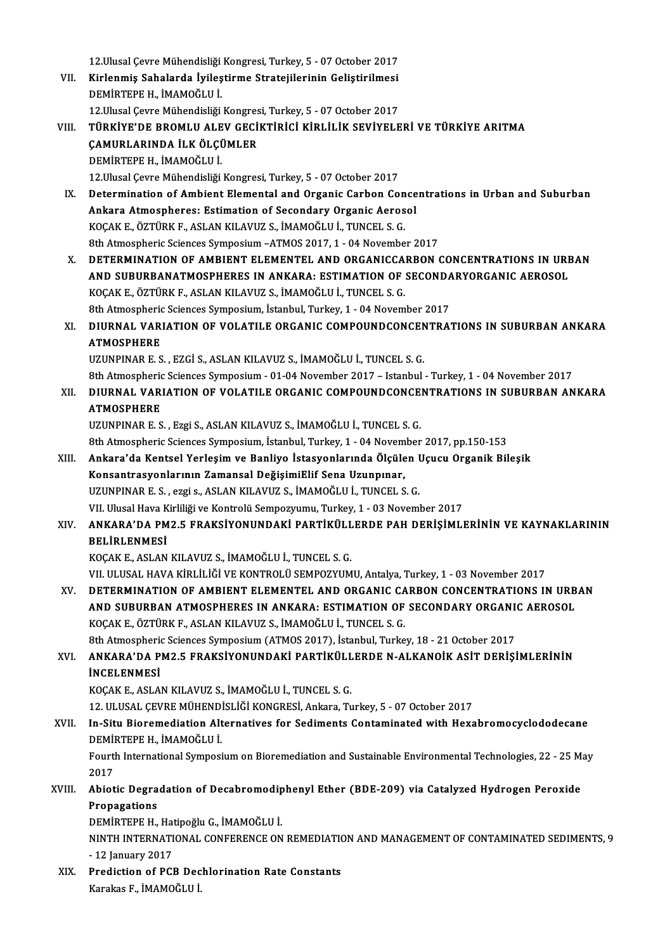12.Ulusal Çevre Mühendisliği Kongresi, Turkey, 5 - 07 October 2017<br>Kirlenmiş Sahalarda İvilestinme Stratejilerinin Gelistinilmesi

12.Ulusal Çevre Mühendisliği Kongresi, Turkey, 5 - 07 October 2017<br>VII. Kirlenmiş Sahalarda İyileştirme Stratejilerinin Geliştirilmesi<br>DEMİRTERE U. İMAMOČLU İ 12.Ulusal Çevre Mühendisliği<br>Kirlenmiş Sahalarda İyileş<br>DEMİRTEPE H., İMAMOĞLU İ.<br>12 Ulusal Caure Mühendisliği Kirlenmiş Sahalarda İyileştirme Stratejilerinin Geliştirilmesi<br>DEMİRTEPE H., İMAMOĞLU İ.<br>12.Ulusal Çevre Mühendisliği Kongresi, Turkey, 5 - 07 October 2017<br>TÜRKİYE'DE RROMLU ALEV GEGİKTİRİGİ KİRLİL İK SEVİYELE 12. Ulusal Çevre Mühendisliği Kongresi, Turkey, 5 - 07 October 2017

DEMİRTEPE H., İMAMOĞLU İ.<br>12.Ulusal Çevre Mühendisliği Kongresi, Turkey, 5 - 07 October 2017<br>VIII. TÜRKİYE'DE BROMLU ALEV GECİKTİRİCİ KİRLİLİK SEVİYELERİ VE TÜRKİYE ARITMA<br>CAMURLARINDA İLK ÖLCÜMLER DEMİRTEPE H., İMAMOĞLU İ. 12. Ulusal Çevre Mühendisliği Kongresi, Turkey, 5 - 07 October 2017

- IX. Determination of Ambient Elemental and Organic Carbon Concentrations in Urban and Suburban 12.Ulusal Çevre Mühendisliği Kongresi, Turkey, 5 - 07 October 2017<br>Determination of Ambient Elemental and Organic Carbon Conce<br>Ankara Atmospheres: Estimation of Secondary Organic Aerosol<br>VOCAK E. ÖZTÜRK R. ASLAN KU AVUZ S. Determination of Ambient Elemental and Organic Carbon Con<br>Ankara Atmospheres: Estimation of Secondary Organic Aeros<br>KOÇAK E., ÖZTÜRK F., ASLAN KILAVUZ S., İMAMOĞLU İ., TUNCEL S. G.<br><sup>9th Atmospheris Sciences Sumnosium, ATMO</sup> Ankara Atmospheres: Estimation of Secondary Organic Aerosol<br>KOÇAK E., ÖZTÜRK F., ASLAN KILAVUZ S., İMAMOĞLU İ., TUNCEL S. G.<br>8th Atmospheric Sciences Symposium –ATMOS 2017, 1 - 04 November 2017<br>DETERMINATION OF AMPIENT ELE KOÇAK E., ÖZTÜRK F., ASLAN KILAVUZ S., İMAMOĞLU İ., TUNCEL S. G.<br>8th Atmospheric Sciences Symposium –ATMOS 2017, 1 - 04 November 2017<br>X. DETERMINATION OF AMBIENT ELEMENTEL AND ORGANICCARBON CONCENTRATIONS IN URBAN
- 8th Atmospheric Sciences Symposium –ATMOS 2017, 1 04 November 2017<br>DETERMINATION OF AMBIENT ELEMENTEL AND ORGANICCARBON CONCENTRATIONS IN URI<br>AND SUBURBANATMOSPHERES IN ANKARA: ESTIMATION OF SECONDARYORGANIC AEROSOL<br>KOCA DETERMINATION OF AMBIENT ELEMENTEL AND ORGANICCA.<br>AND SUBURBANATMOSPHERES IN ANKARA: ESTIMATION OF<br>KOÇAK E., ÖZTÜRK F., ASLAN KILAVUZ S., İMAMOĞLU İ., TUNCEL S. G.<br><sup>9th Atmospheris Sciences Sumnosium Ataphul Turkey 1, 04 N</sup> AND SUBURBANATMOSPHERES IN ANKARA: ESTIMATION OF SECONDA<br>KOÇAK E., ÖZTÜRK F., ASLAN KILAVUZ S., İMAMOĞLU İ., TUNCEL S. G.<br>8th Atmospheric Sciences Symposium, İstanbul, Turkey, 1 - 04 November 2017<br>DUIRNAL VARLATION OF VOLA KOÇAK E., ÖZTÜRK F., ASLAN KILAVUZ S., İMAMOĞLU İ., TUNCEL S. G.<br>8th Atmospheric Sciences Symposium, İstanbul, Turkey, 1 - 04 November 2017<br>XI. DIURNAL VARIATION OF VOLATILE ORGANIC COMPOUNDCONCENTRATIONS IN SUBURBAN ANKAR
- 8th Atmospheric Sciences Symposium, İstanbul, Turkey, 1 04 November 2017<br>DIURNAL VARIATION OF VOLATILE ORGANIC COMPOUNDCONCENTRA<br>ATMOSPHERE<br>UZUNPINAR E. S. , EZGİ S., ASLAN KILAVUZ S., İMAMOĞLU İ., TUNCEL S. G. DIURNAL VARIATION OF VOLATILE ORGANIC COMPOUNDCONCEN<br>ATMOSPHERE<br>UZUNPINAR E. S. , EZGİ S., ASLAN KILAVUZ S., İMAMOĞLU İ., TUNCEL S. G.<br>8th Atmograpic Sciences Sumnosium - 01-04 November 2017 - Istanbul ATMOSPHERE<br>UZUNPINAR E. S. , EZGİ S., ASLAN KILAVUZ S., İMAMOĞLU İ., TUNCEL S. G.<br>8th Atmospheric Sciences Symposium - 01-04 November 2017 – Istanbul - Turkey, 1 - 04 November 2017<br>DUIRNAL VARIATION OF VOLATU E ORGANIC COM

XII. DIURNAL VARIATION OF VOLATILE ORGANIC COMPOUNDCONCENTRATIONS IN SUBURBAN ANKARA<br>ATMOSPHERE **8th Atmospheric<br>DIURNAL VARI<br>ATMOSPHERE**<br>UZUNPIMAP E.S ATMOSPHERE<br>UZUNPINAR E. S. , Ezgi S., ASLAN KILAVUZ S., İMAMOĞLU İ., TUNCEL S. G.<br>8th Atmospheric Sciences Symposium, İstanbul, Turkey, 1 - 04 November 2017, pp.150-153<br>Ankara'da Kantsal Yarlasım ve Banliya İstasyanlarında

UZUNPINARE.S. ,EzgiS.,ASLANKILAVUZ S., İMAMOĞLUİ.,TUNCEL S.G.

UZUNPINAR E. S. , Ezgi S., ASLAN KILAVUZ S., İMAMOĞLU İ., TUNCEL S. G.<br>8th Atmospheric Sciences Symposium, İstanbul, Turkey, 1 - 04 November 2017, pp.150-153<br>XIII. Ankara'da Kentsel Yerleşim ve Banliyo İstasyonlarında 8th Atmospheric Sciences Symposium, İstanbul, Turkey, 1 - 04 Novem<br>Ankara'da Kentsel Yerleşim ve Banliyo İstasyonlarında Ölçüle<br>Konsantrasyonlarının Zamansal DeğişimiElif Sena Uzunpınar,<br>UZUNPINAR E.S., ezgi s. ASLAN KU AV Ankara'da Kentsel Yerleşim ve Banliyo İstasyonlarında Ölçülen I<br>Konsantrasyonlarının Zamansal DeğişimiElif Sena Uzunpınar,<br>UZUNPINAR E. S. , ezgi s., ASLAN KILAVUZ S., İMAMOĞLU İ., TUNCEL S. G.<br>VIL Ulusal Hava Kirliliği ve Konsantrasyonlarının Zamansal DeğişimiElif Sena Uzunpınar,<br>UZUNPINAR E. S. , ezgi s., ASLAN KILAVUZ S., İMAMOĞLU İ., TUNCEL S. G.<br>VII. Ulusal Hava Kirliliği ve Kontrolü Sempozyumu, Turkey, 1 - 03 November 2017

## UZUNPINAR E. S. , ezgi s., ASLAN KILAVUZ S., İMAMOĞLU İ., TUNCEL S. G.<br>VII. Ulusal Hava Kirliliği ve Kontrolü Sempozyumu, Turkey, 1 - 03 November 2017<br>XIV. ANKARA'DA PM2.5 FRAKSİYONUNDAKİ PARTİKÜLLERDE PAH DERİŞİMLERİN VII. Ulusal Hava K<br><mark>ANKARA'DA PM</mark><br>BELİRLENMESİ<br>*VOCAV* E. ASLAN ANKARA'DA PM2.5 FRAKSİYONUNDAKİ PARTİKÜLL<br>BELİRLENMESİ<br>KOÇAK E., ASLAN KILAVUZ S., İMAMOĞLU İ., TUNCEL S. G.<br>VILULUSAL HAVA KİRLİLİĞİ VE KONTROLÜ SEMPOZYUM BELİRLENMESİ<br>KOÇAK E., ASLAN KILAVUZ S., İMAMOĞLU İ., TUNCEL S. G.<br>VII. ULUSAL HAVA KİRLİLİĞİ VE KONTROLÜ SEMPOZYUMU, Antalya, Turkey, 1 - 03 November 2017<br>DETERMINATION OF AMPIENT ELEMENTEL AND ORCANIC CARRON CONCENTRATIO

XV. DETERMINATION OF AMBIENT ELEMENTEL AND ORGANIC CARBON CONCENTRATIONS IN URBAN VII. ULUSAL HAVA KİRLİLİĞİ VE KONTROLÜ SEMPOZYUMU, Antalya, Turkey, 1 - 03 November 2017<br>DETERMINATION OF AMBIENT ELEMENTEL AND ORGANIC CARBON CONCENTRATIONS IN URB<br>AND SUBURBAN ATMOSPHERES IN ANKARA: ESTIMATION OF SECONDA XV. DETERMINATION OF AMBIENT ELEMENTEL AND ORGANIC CARBON CONCENTRATIONS IN URBAN<br>AND SUBURBAN ATMOSPHERES IN ANKARA: ESTIMATION OF SECONDARY ORGANIC AEROSOL<br>KOÇAK E., ÖZTÜRK F., ASLAN KILAVUZ S., İMAMOĞLU İ., TUNCEL S. G. AND SUBURBAN ATMOSPHERES IN ANKARA: ESTIMATION OF SECONDARY ORGANIC AEROSOL KOÇAK E., ÖZTÜRK F., ASLAN KILAVUZ S., İMAMOĞLU İ., TUNCEL S. G.<br>8th Atmospheric Sciences Symposium (ATMOS 2017), İstanbul, Turkey, 18 - 21 October 2017<br>XVI. ANKARA'DA PM2.5 FRAKSİYONUNDAKİ PARTİKÜLLERDE N-ALKANOİK ASİ

**8th Atmospheric<br>ANKARA'DA P<br>İNCELENMESİ**<br>KOCAK ELASLA' ANKARA'DA PM2.5 FRAKSİYONUNDAKİ PARTİKÜLL<br>İNCELENMESİ<br>KOÇAK E., ASLAN KILAVUZ S., İMAMOĞLU İ., TUNCEL S. G.<br>12. III USAL CEVPE MÜHENDİSI İĞI KONCPESİ, Arkara Tu **İNCELENMESİ**<br>KOÇAK E., ASLAN KILAVUZ S., İMAMOĞLU İ., TUNCEL S. G.<br>12. ULUSAL ÇEVRE MÜHENDİSLİĞİ KONGRESİ, Ankara, Turkey, 5 - 07 October 2017

## KOÇAK E., ASLAN KILAVUZ S., İMAMOĞLU İ., TUNCEL S. G.<br>12. ULUSAL ÇEVRE MÜHENDİSLİĞİ KONGRESİ, Ankara, Turkey, 5 - 07 October 2017<br>XVII. In-Situ Bioremediation Alternatives for Sediments Contaminated with Hexabromocyclodode 12. ULUSAL ÇEVRE MÜHEND<br>In-Situ Bioremediation Alt<br>DEMİRTEPE H., İMAMOĞLU İ.<br>Fourth International Sumnosi In-Situ Bioremediation Alternatives for Sediments Contaminated with Hexabromocyclododecane<br>DEMİRTEPE H., İMAMOĞLU İ.<br>Fourth International Symposium on Bioremediation and Sustainable Environmental Technologies, 22 - 25 May<br>

DEMİRTEPE H., İMAMOĞLU İ.<br>Fourth International Symposium on Bioremediation and Sustainable Environmental Technologies, 22 - 25 May<br>2017 Fourth International Symposium on Bioremediation and Sustainable Environmental Technologies, 22 - 25 M.<br>2017<br>Represention of Decabromodiphenyl Ether (BDE-209) via Catalyzed Hydrogen Peroxide<br>Representions

2017<br>Abiotic Degra<br>Propagations<br>DEMIPTEDE H Abiotic Degradation of Decabromodip<br>Propagations<br>DEMİRTEPE H., Hatipoğlu G., İMAMOĞLU İ.<br>NINTH INTERNATIONAL CONEERENCE ON

DEMİRTEPE H., Hatipoğlu G., İMAMOĞLU İ.

Propagations<br>DEMİRTEPE H., Hatipoğlu G., İMAMOĞLU İ.<br>NINTH INTERNATIONAL CONFERENCE ON REMEDIATION AND MANAGEMENT OF CONTAMINATED SEDIMENTS, 9<br>- 12 January 2017 NINTH INTERNATIONAL CONFERENCE ON REMEDIATION - 12 January 2017<br>XIX. Prediction of PCB Dechlorination Rate Constants<br>Karakas E. MAMOČLU I

- 12 January 2017<br>Prediction of PCB Dec<br>Karakas F., İMAMOĞLU İ.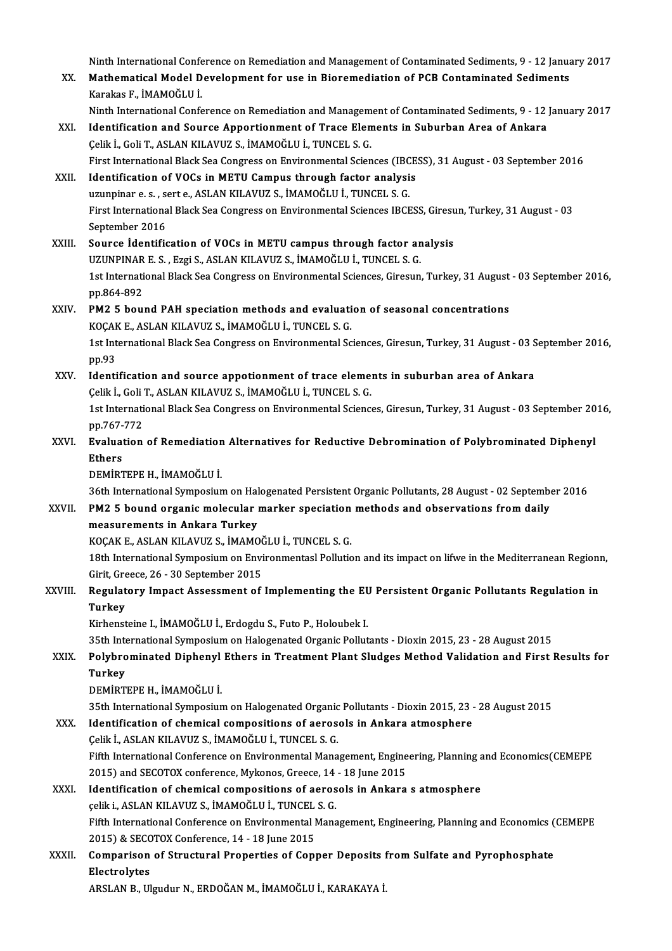Ninth International Conference on Remediation and Management of Contaminated Sediments, 9 - 12 January 2017<br>Mathematical Model Development for use in Bioremediation of BCB Contaminated Sediments

Ninth International Conference on Remediation and Management of Contaminated Sediments, 9 - 12 Janua<br>XX. Mathematical Model Development for use in Bioremediation of PCB Contaminated Sediments Ninth International Confe<br>Mathematical Model D<br>Karakas F., İMAMOĞLU İ.<br><sup>Ninth</sup> International Confe Mathematical Model Development for use in Bioremediation of PCB Contaminated Sediments<br>Karakas F., İMAMOĞLU İ.<br>Ninth International Conference on Remediation and Management of Contaminated Sediments, 9 - 12 January 2017<br>Ide

- Karakas F., İMAMOĞLU İ.<br>Ninth International Conference on Remediation and Management of Contaminated Sediments, 9 12<br>XXI. Identification and Source Apportionment of Trace Elements in Suburban Area of Ankara<br>Celik İ., Gol Ninth International Conference on Remediation and Managem<br>Identification and Source Apportionment of Trace Elen<br>Çelik İ., Goli T., ASLAN KILAVUZ S., İMAMOĞLU İ., TUNCEL S. G.<br>First International Black See Congress on Envir Identification and Source Apportionment of Trace Elements in Suburban Area of Ankara<br>Çelik İ., Goli T., ASLAN KILAVUZ S., İMAMOĞLU İ., TUNCEL S. G.<br>First International Black Sea Congress on Environmental Sciences (IBCESS), Celik I., Goli T., ASLAN KILAVUZ S., IMAMOĞLU I., TUNCEL S. G.<br>First International Black Sea Congress on Environmental Sciences (IBCE<br>XXII. Identification of VOCs in METU Campus through factor analysis<br>writing research and
- First International Black Sea Congress on Environmental Sciences (IBC)<br>Identification of VOCs in METU Campus through factor analysi<br>uzunpinar e. s. , sert e., ASLAN KILAVUZ S., İMAMOĞLU İ., TUNCEL S. G.<br>First International Identification of VOCs in METU Campus through factor analysis<br>uzunpinar e. s. , sert e., ASLAN KILAVUZ S., İMAMOĞLU İ., TUNCEL S. G.<br>First International Black Sea Congress on Environmental Sciences IBCESS, Giresun, Turkey, uzunpinar e. s. , se<br>First Internationa<br>September 2016<br>Seuree Identific First International Black Sea Congress on Environmental Sciences IBCESS, Giresu<br>September 2016<br>XXIII. Source Identification of VOCs in METU campus through factor analysis<br>IIZUNDINAR E.S. ERGIS ASLAN KILAVIIZ S. IMAMOČLILI

September 2016<br>Source İdentification of VOCs in METU campus through factor analysis<br>UZUNPINAR E. S. , Ezgi S., ASLAN KILAVUZ S., İMAMOĞLU İ., TUNCEL S. G. Source İdentification of VOCs in METU campus through factor analysis<br>UZUNPINAR E. S. , Ezgi S., ASLAN KILAVUZ S., İMAMOĞLU İ., TUNCEL S. G.<br>1st International Black Sea Congress on Environmental Sciences, Giresun, Turkey, 3 UZUNPINAR<br>1st Internati<br>pp.864-892<br>PM2 5 bou 1st International Black Sea Congress on Environmental Sciences, Giresun, Turkey, 31 August<br>pp.864-892<br>XXIV. PM2 5 bound PAH speciation methods and evaluation of seasonal concentrations<br> $XOCAYE-AYIAYIIAYIIZS-IMAMOCHIITINICEISS$ 

## pp.864-892<br>PM2 5 bound PAH speciation methods and evaluation of seasonal concentrations KOÇAK E., ASLAN KILAVUZ S., İMAMOĞLU İ., TUNCEL S. G.

1st International Black Sea Congress on Environmental Sciences, Giresun, Turkey, 31 August - 03 September 2016,<br>pp.93 1st International Black Sea Congress on Environmental Sciences, Giresun, Turkey, 31 August - 03 S<br>pp.93<br>XXV. Identification and source appotionment of trace elements in suburban area of Ankara<br>Celik L.Celi T. ASLAN KILAVIE

- pp.93<br>Identification and source appotionment of trace eleme:<br>Çelik İ., Goli T., ASLAN KILAVUZ S., İMAMOĞLU İ., TUNCEL S. G.<br>1st International Plack See Congress en Envirenmental Scienc 1st International Black Sea Congress on Environmental Sciences, Giresun, Turkey, 31 August - 03 September 2016,<br>pp.767-772 Celik İ., Goli T., ASLAN KILAVUZ S., İMAMOĞLU İ., TUNCEL S. G.
- 1st International Black Sea Congress on Environmental Sciences, Giresun, Turkey, 31 August 03 September 20<br>20 pp.767-772<br>XXVI. Evaluation of Remediation Alternatives for Reductive Debromination of Polybrominated Diphenyl PP.767-<br>Evaluat<br>Ethers Evaluation of Remediation<br>Ethers<br>DEMİRTEPE H., İMAMOĞLU İ.<br>26th International Sumnesiun 5thers<br>16th International Symposium on Halogenated Persistent Organic Pollutants, 28 August - 02 September 2016<br>16th International Symposium on Halogenated Persistent Organic Pollutants, 28 August - 02 September 2016

## XXVII. PM2 5 bound organic molecular marker speciation methods and observations from daily PM2 5 bound organic molecular marker speciation<br>measurements in Ankara Turkey<br>KOÇAK E., ASLAN KILAVUZ S., İMAMOĞLU İ., TUNCEL S. G.<br>19th International Sumnosium en Envirenmenteel Bellutie

measurements in Ankara Turkey

18th International Symposium on Environmentasl Pollution and its impact on lifwe in the Mediterranean Regionn,<br>Girit, Greece, 26 - 30 September 2015 KOÇAK E., ASLAN KILAVUZ S., İMAMOČ<br>18th International Symposium on Envi<br>Girit, Greece, 26 - 30 September 2015<br>Begylstowy Impost Assossment of 18th International Symposium on Environmentasl Pollution and its impact on lifwe in the Mediterranean Regioni<br>Girit, Greece, 26 - 30 September 2015<br>XXVIII. Regulatory Impact Assessment of Implementing the EU Persistent Org

## Girit, Gre<br><mark>Regulat</mark><br>Turkey Regulatory Impact Assessment of Implementing the EU<br>Turkey<br>Kirhensteine I., İMAMOĞLU İ., Erdogdu S., Futo P., Holoubek I.<br>25th International Sumpesium en Hologenated Organia Bellut Turkey<br>Kirhensteine I., İMAMOĞLU İ., Erdogdu S., Futo P., Holoubek I.<br>35th International Symposium on Halogenated Organic Pollutants - Dioxin 2015, 23 - 28 August 2015<br>Polyhnominated Dinhonyl Ethons in Treatment Blant Slud

## Kirhensteine I., İMAMOĞLU İ., Erdogdu S., Futo P., Holoubek I.<br>35th International Symposium on Halogenated Organic Pollutants - Dioxin 2015, 23 - 28 August 2015<br>XXIX. Polybrominated Diphenyl Ethers in Treatment Plant S **35th Inte<br>Polybro<br>Turkey**<br>DEMIPT Polybrominated Diphenyl<br>Turkey<br>DEMİRTEPE H., İMAMOĞLU İ.<br><sup>25th International Sumnosiun</sup>

Turkey<br>DEMİRTEPE H., İMAMOĞLU İ.<br>35th International Symposium on Halogenated Organic Pollutants - Dioxin 2015, 23 - 28 August 2015

## DEMIRTEPE H., İMAMOĞLU İ.<br>35th International Symposium on Halogenated Organic Pollutants - Dioxin 2015, 23 -<br>XXX. Identification of chemical compositions of aerosols in Ankara atmosphere<br>Colik İ. ASLAN KU AVUZ S. İMAMOĞLU 35th International Symposium on Halogenated Organic<br>Identification of chemical compositions of aeros<br>Çelik İ., ASLAN KILAVUZ S., İMAMOĞLU İ., TUNCEL S. G.<br>Fifth International Conference on Environmental Mana

Identification of chemical compositions of aerosols in Ankara atmosphere<br>Çelik İ., ASLAN KILAVUZ S., İMAMOĞLU İ., TUNCEL S. G.<br>Fifth International Conference on Environmental Management, Engineering, Planning and Economics Celik İ., ASLAN KILAVUZ S., İMAMOĞLU İ., TUNCEL S. G.<br>Fifth International Conference on Environmental Management, Engine<br>2015) and SECOTOX conference, Mykonos, Greece, 14 - 18 June 2015<br>Identification of chemical compositi Fifth International Conference on Environmental Management, Engineering, Planning a<br>2015) and SECOTOX conference, Mykonos, Greece, 14 - 18 June 2015<br>XXXI. Identification of chemical compositions of aerosols in Ankara s atm

## 2015) and SECOTOX conference, Mykonos, Greece, 14 - 18 June 2015<br>Identification of chemical compositions of aerosols in Ankara s atmosphere<br>celik i., ASLAN KILAVUZ S., İMAMOĞLU İ., TUNCEL S. G. Identification of chemical compositions of aerosols in Ankara s atmosphere<br>çelik i., ASLAN KILAVUZ S., İMAMOĞLU İ., TUNCEL S. G.<br>Fifth International Conference on Environmental Management, Engineering, Planning and Economi

celik i., ASLAN KILAVUZ S., İMAMOĞLU İ., TUNCEL<br>Fifth International Conference on Environmental I<br>2015) & SECOTOX Conference, 14 - 18 June 2015<br>Companison of Structural Properties of Cont Fifth International Conference on Environmental Management, Engineering, Planning and Economics (<br>2015) & SECOTOX Conference, 14 - 18 June 2015<br>XXXII. Comparison of Structural Properties of Copper Deposits from Sulfate and

2015) & SECOTOX Conference, 14 - 18 June 2015<br>Comparison of Structural Properties of Copper Deposits from Sulfate and Pyrophosphate<br>Electrolytes

ARSLANB.,UlgudurN.,ERDOĞANM., İMAMOĞLUİ.,KARAKAYAİ.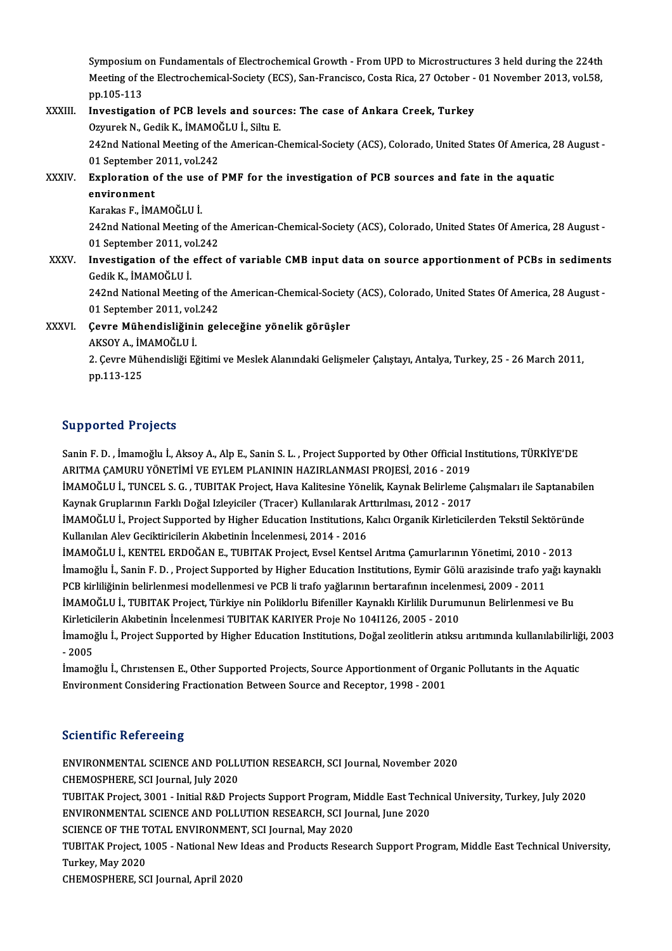Symposium on Fundamentals of Electrochemical Growth - From UPD to Microstructures 3 held during the 224th<br>Meeting of the Electrochemical Society (ECS), San Enancisco, Costa Bica. 27 October, .01 November 2012, yel 59 Symposium on Fundamentals of Electrochemical Growth - From UPD to Microstructures 3 held during the 224th<br>Meeting of the Electrochemical-Society (ECS), San-Francisco, Costa Rica, 27 October - 01 November 2013, vol.58, Symposium<br>Meeting of the<br>pp.105-113<br>Investigaties

### Meeting of the Electrochemical-Society (ECS), San-Francisco, Costa Rica, 27 October - 01 November 2013, vol.58,<br>pp.105-113<br>XXXIII. Investigation of PCB levels and sources: The case of Ankara Creek, Turkey<br>Ozyurek N., Gedik Investigation of PCB levels and sources: The case of Ankara Creek, Turkey 242nd National Meeting of the American-Chemical-Society (ACS), Colorado, United States Of America, 28 August -Ozyurek N., Gedik K., İMAMO)<br>242nd National Meeting of th<br>01 September 2011, vol.242<br>Exploration of the use of 242nd National Meeting of the American-Chemical-Society (ACS), Colorado, United States Of America, 2<br>01 September 2011, vol.242<br>XXXIV. Exploration of the use of PMF for the investigation of PCB sources and fate in the aqua

01 September<br>Exploration<br>environment<br>Karakas E. iM/ Exploration of the use<br>environment<br>Karakas F., İMAMOĞLU İ.<br>242nd National Mesting

environment<br>Karakas F., İMAMOĞLU İ.<br>242nd National Meeting of the American-Chemical-Society (ACS), Colorado, United States Of America, 28 August -Karakas F., İMAMOĞLU İ.<br>242nd National Meeting of th<br>01 September 2011, vol.242<br>Investigation of the effect 242nd National Meeting of the American-Chemical-Society (ACS), Colorado, United States Of America, 28 August -<br>01 September 2011, vol.242<br>XXXV. Investigation of the effect of variable CMB input data on source apportionment

## 01 September 2011, vo<br>Investigation of the<br>Gedik K., İMAMOĞLU İ. Investigation of the effect of variable CMB input data on source apportionment of PCBs in sediment<br>Gedik K., İMAMOĞLU İ.<br>242nd National Meeting of the American-Chemical-Society (ACS), Colorado, United States Of America, 28

Gedik K., İMAMOĞLU İ.<br>242nd National Meeting of the American-Chemical-Society (ACS), Colorado, United States Of America, 28 August -<br>01 September 2011, vol.242 242nd National Meeting of the American-Chemical-Society<br>01 September 2011, vol.242<br>XXXVI. Gevre Mühendisliğinin geleceğine yönelik görüşler<br>AKSOVA İMAMOĞLUİ

# 01 September 2011, vol<br>Çevre Mühendisliğini<br>AKSOY A., İMAMOĞLU İ.<br>2 *Ceure Mühendisliği El*

AKSOY A., İMAMOĞLU İ.

2. Çevre Mühendisliği Eğitimi ve Meslek Alanındaki Gelişmeler Çalıştayı, Antalya, Turkey, 25 - 26 March 2011,<br>pp.113-125

### Supported Projects

Sanin F.D., İmamoğlu İ., Aksoy A., Alp E., Sanin S.L., Project Supported by Other Official Institutions, TÜRKİYE'DE ARITMAÇAMURUYÖNETİMİVEEYLEMPLANININHAZIRLANMASIPROJESİ,2016 -2019 Sanin F. D. , İmamoğlu İ., Aksoy A., Alp E., Sanin S. L. , Project Supported by Other Official Institutions, TÜRKİYE'DE<br>ARITMA ÇAMURU YÖNETİMİ VE EYLEM PLANININ HAZIRLANMASI PROJESİ, 2016 - 2019<br>İMAMOĞLU İ., TUNCEL S. G. ,

ARITMA ÇAMURU YÖNETİMİ VE EYLEM PLANININ HAZIRLANMASI PROJESİ, 2016 - 2019<br>İMAMOĞLU İ., TUNCEL S. G. , TUBITAK Project, Hava Kalitesine Yönelik, Kaynak Belirleme Ç<br>Kaynak Gruplarının Farklı Doğal Izleyiciler (Tracer) Kulla İMAMOĞLU İ., TUNCEL S. G. , TUBITAK Project, Hava Kalitesine Yönelik, Kaynak Belirleme Çalışmaları ile Saptanabile<br>Kaynak Gruplarının Farklı Doğal Izleyiciler (Tracer) Kullanılarak Arttırılması, 2012 - 2017<br>İMAMOĞLU İ., Pr

Kaynak Gruplarının Farklı Doğal Izleyiciler (Tracer) Kullanılarak Arttırılması, 2012 - 2017<br>İMAMOĞLU İ., Project Supported by Higher Education Institutions, Kalıcı Organik Kirleticilerden Tekstil Sektöründe<br>Kullanılan Alev İMAMOĞLU İ., Project Supported by Higher Education Institutions, Kalıcı Organik Kirleticilerden Tekstil Sektöründ<br>Kullanılan Alev Geciktiricilerin Akıbetinin İncelenmesi, 2014 - 2016<br>İMAMOĞLU İ., KENTEL ERDOĞAN E., TUBITAK

Kullanılan Alev Geciktiricilerin Akıbetinin İncelenmesi, 2014 - 2016<br>İMAMOĞLU İ., KENTEL ERDOĞAN E., TUBITAK Project, Evsel Kentsel Arıtma Çamurlarının Yönetimi, 2010 - 2013<br>İmamoğlu İ., Sanin F. D. , Project Supported by İMAMOĞLU İ., KENTEL ERDOĞAN E., TUBITAK Project, Evsel Kentsel Arıtma Çamurlarının Yönetimi, 2010 -<br>İmamoğlu İ., Sanin F. D. , Project Supported by Higher Education Institutions, Eymir Gölü arazisinde trafo ya<br>PCB kirliliğ İmamoğlu İ., Sanin F. D. , Project Supported by Higher Education Institutions, Eymir Gölü arazisinde trafo yağı kaynaklı<br>PCB kirliliğinin belirlenmesi modellenmesi ve PCB li trafo yağlarının bertarafının incelenmesi, 2009

PCB kirliliğinin belirlenmesi modellenmesi ve PCB li trafo yağlarının bertarafının incelen<br>İMAMOĞLU İ., TUBITAK Project, Türkiye nin Poliklorlu Bifeniller Kaynaklı Kirlilik Durum<br>Kirleticilerin Akıbetinin İncelenmesi TUBIT İMAMOĞLU İ., TUBITAK Project, Türkiye nin Poliklorlu Bifeniller Kaynaklı Kirlilik Durumunun Belirlenmesi ve Bu<br>Kirleticilerin Akıbetinin İncelenmesi TUBITAK KARIYER Proje No 104I126, 2005 - 2010<br>İmamoğlu İ., Project Suppor

Kirletic<br>İmamoj<br>- 2005<br>İmamoj İmamoğlu İ., Project Supported by Higher Education Institutions, Doğal zeolitlerin atıksu arıtımında kullanılabilirliğ<br>- 2005<br>İmamoğlu İ., Chrıstensen E., Other Supported Projects, Source Apportionment of Organic Pollutant

- 2005<br>İmamoğlu İ., Christensen E., Other Supported Projects, Source Apportionment of Organic Pollutants in the Aquatic<br>Environment Considering Fractionation Between Source and Receptor, 1998 - 2001

### **Scientific Refereeing**

Scientific Refereeing<br>ENVIRONMENTAL SCIENCE AND POLLUTION RESEARCH, SCI Journal, November 2020<br>CHEMOSPHERE, SCI Journal, July 2020 CHEMOSPHERE, SCI Journal, July 2020<br>CHEMOSPHERE, SCI Journal, July 2020<br>TUBITAK Project 2001 - Initial R&D Pre ENVIRONMENTAL SCIENCE AND POLLUTION RESEARCH, SCI Journal, November 2020<br>CHEMOSPHERE, SCI Journal, July 2020<br>TUBITAK Project, 3001 - Initial R&D Projects Support Program, Middle East Technical University, Turkey, July 2020 CHEMOSPHERE, SCI Journal, July 2020<br>TUBITAK Project, 3001 - Initial R&D Projects Support Program, Middle East Techn<br>ENVIRONMENTAL SCIENCE AND POLLUTION RESEARCH, SCI Journal, June 2020<br>SCIENCE OF THE TOTAL ENVIRONMENT, SCI TUBITAK Project, 3001 - Initial R&D Projects Support Program, N<br>ENVIRONMENTAL SCIENCE AND POLLUTION RESEARCH, SCI Journal,<br>SCIENCE OF THE TOTAL ENVIRONMENT, SCI Journal, May 2020<br>TUBITAK Project, 1005 - National Naw Ideas ENVIRONMENTAL SCIENCE AND POLLUTION RESEARCH, SCI Journal, June 2020<br>SCIENCE OF THE TOTAL ENVIRONMENT, SCI Journal, May 2020<br>TUBITAK Project, 1005 - National New Ideas and Products Research Support Program, Middle East Tec SCIENCE OF THE TOTAL ENVIRONMENT, SCI Journal, May 2020 CHEMOSPHERE, SCI Journal, April 2020